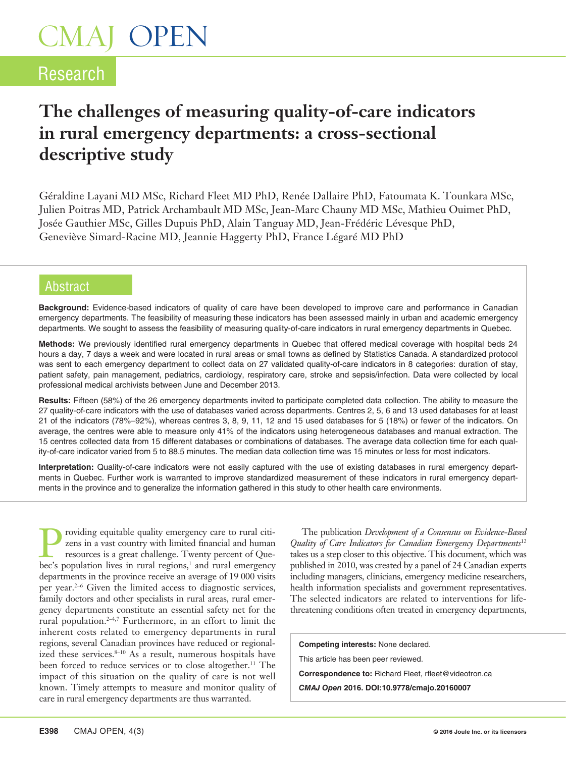### Research

### **The challenges of measuring quality-of-care indicators in rural emergency departments: a cross-sectional descriptive study**

Géraldine Layani MD MSc, Richard Fleet MD PhD, Renée Dallaire PhD, Fatoumata K. Tounkara MSc, Julien Poitras MD, Patrick Archambault MD MSc, Jean-Marc Chauny MD MSc, Mathieu Ouimet PhD, Josée Gauthier MSc, Gilles Dupuis PhD, Alain Tanguay MD, Jean-Frédéric Lévesque PhD, Geneviève Simard-Racine MD, Jeannie Haggerty PhD, France Légaré MD PhD

#### Abstract

**Background:** Evidence-based indicators of quality of care have been developed to improve care and performance in Canadian emergency departments. The feasibility of measuring these indicators has been assessed mainly in urban and academic emergency departments. We sought to assess the feasibility of measuring quality-of-care indicators in rural emergency departments in Quebec.

**Methods:** We previously identified rural emergency departments in Quebec that offered medical coverage with hospital beds 24 hours a day, 7 days a week and were located in rural areas or small towns as defined by Statistics Canada. A standardized protocol was sent to each emergency department to collect data on 27 validated quality-of-care indicators in 8 categories: duration of stay, patient safety, pain management, pediatrics, cardiology, respiratory care, stroke and sepsis/infection. Data were collected by local professional medical archivists between June and December 2013.

**Results:** Fifteen (58%) of the 26 emergency departments invited to participate completed data collection. The ability to measure the 27 quality-of-care indicators with the use of databases varied across departments. Centres 2, 5, 6 and 13 used databases for at least 21 of the indicators (78%–92%), whereas centres 3, 8, 9, 11, 12 and 15 used databases for 5 (18%) or fewer of the indicators. On average, the centres were able to measure only 41% of the indicators using heterogeneous databases and manual extraction. The 15 centres collected data from 15 different databases or combinations of databases. The average data collection time for each quality-of-care indicator varied from 5 to 88.5 minutes. The median data collection time was 15 minutes or less for most indicators.

**Interpretation:** Quality-of-care indicators were not easily captured with the use of existing databases in rural emergency departments in Quebec. Further work is warranted to improve standardized measurement of these indicators in rural emergency departments in the province and to generalize the information gathered in this study to other health care environments.

Providing equitable quality emergency care to rural citizens in a vast country with limited financial and human resources is a great challenge. Twenty percent of Quebec's population lives in rural regions l and rural emerg zens in a vast country with limited financial and human resources is a great challenge. Twenty percent of Quebec's population lives in rural regions,<sup>1</sup> and rural emergency departments in the province receive an average of 19 000 visits per year.<sup>2-6</sup> Given the limited access to diagnostic services, family doctors and other specialists in rural areas, rural emergency departments constitute an essential safety net for the rural population.2–4,7 Furthermore, in an effort to limit the inherent costs related to emergency departments in rural regions, several Canadian provinces have reduced or regionalized these services.<sup>8-10</sup> As a result, numerous hospitals have been forced to reduce services or to close altogether.<sup>11</sup> The impact of this situation on the quality of care is not well known. Timely attempts to measure and monitor quality of care in rural emergency departments are thus warranted.

The publication *Development of a Consensus on Evidence-Based Quality of Care Indicators for Canadian Emergency Departments*<sup>12</sup> takes us a step closer to this objective. This document, which was published in 2010, was created by a panel of 24 Canadian experts including managers, clinicians, emergency medicine researchers, health information specialists and government representatives. The selected indicators are related to interventions for lifethreatening conditions often treated in emergency departments,

**Competing interests:** None declared. This article has been peer reviewed. **Correspondence to:** Richard Fleet, rfleet@videotron.ca *CMAJ Open* **2016. DOI:10.9778/cmajo.20160007**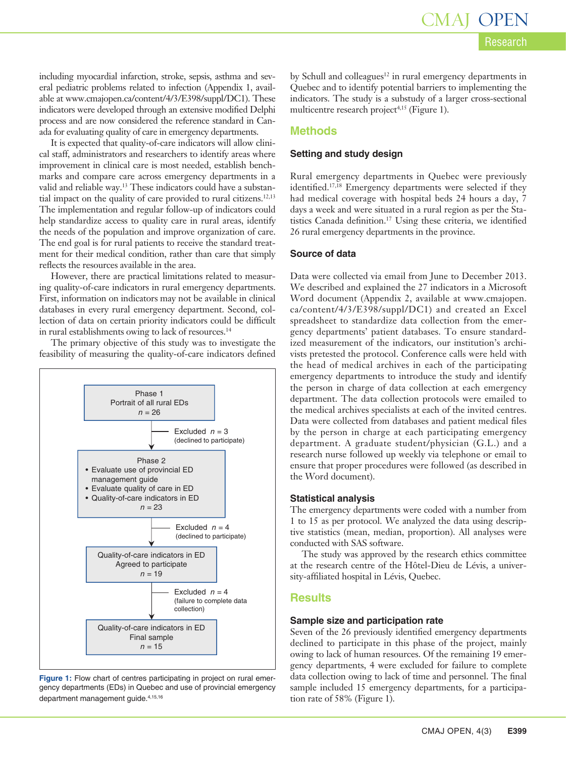including myocardial infarction, stroke, sepsis, asthma and several pediatric problems related to infection (Appendix 1, available at www.cmajopen.ca/content/4/3/E398/suppl/DC1). These indicators were developed through an extensive modified Delphi process and are now considered the reference standard in Canada for evaluating quality of care in emergency departments.

It is expected that quality-of-care indicators will allow clinical staff, administrators and researchers to identify areas where improvement in clinical care is most needed, establish benchmarks and compare care across emergency departments in a valid and reliable way.13 These indicators could have a substantial impact on the quality of care provided to rural citizens.<sup>12,13</sup> The implementation and regular follow-up of indicators could help standardize access to quality care in rural areas, identify the needs of the population and improve organization of care. The end goal is for rural patients to receive the standard treatment for their medical condition, rather than care that simply reflects the resources available in the area.

However, there are practical limitations related to measuring quality-of-care indicators in rural emergency departments. First, information on indicators may not be available in clinical databases in every rural emergency department. Second, collection of data on certain priority indicators could be difficult in rural establishments owing to lack of resources.<sup>14</sup>

The primary objective of this study was to investigate the feasibility of measuring the quality-of-care indicators defined



**Figure 1:** Flow chart of centres participating in project on rural emergency departments (EDs) in Quebec and use of provincial emergency department management guide.<sup>4,15,16</sup>

by Schull and colleagues<sup>12</sup> in rural emergency departments in Quebec and to identify potential barriers to implementing the indicators. The study is a substudy of a larger cross-sectional multicentre research project<sup>4,15</sup> (Figure 1).

#### **Methods**

#### **Setting and study design**

Rural emergency departments in Quebec were previously identified.<sup>17,18</sup> Emergency departments were selected if they had medical coverage with hospital beds 24 hours a day, 7 days a week and were situated in a rural region as per the Statistics Canada definition.17 Using these criteria, we identified 26 rural emergency departments in the province.

#### **Source of data**

Data were collected via email from June to December 2013. We described and explained the 27 indicators in a Microsoft Word document (Appendix 2, available at [www.cmajopen.](http://www.cmajopen.ca/content/4/3/E398/suppl/DC1) [ca/content/4/3/E398/suppl/DC1](http://www.cmajopen.ca/content/4/3/E398/suppl/DC1)) and created an Excel spreadsheet to standardize data collection from the emergency departments' patient databases. To ensure standardized measurement of the indicators, our institution's archivists pretested the protocol. Conference calls were held with the head of medical archives in each of the participating emergency departments to introduce the study and identify the person in charge of data collection at each emergency department. The data collection protocols were emailed to the medical archives specialists at each of the invited centres. Data were collected from databases and patient medical files by the person in charge at each participating emergency department. A graduate student/physician (G.L.) and a research nurse followed up weekly via telephone or email to ensure that proper procedures were followed (as described in the Word document).

#### **Statistical analysis**

The emergency departments were coded with a number from 1 to 15 as per protocol. We analyzed the data using descriptive statistics (mean, median, proportion). All analyses were conducted with SAS software.

The study was approved by the research ethics committee at the research centre of the Hôtel-Dieu de Lévis, a university-affiliated hospital in Lévis, Quebec.

#### **Results**

#### **Sample size and participation rate**

Seven of the 26 previously identified emergency departments declined to participate in this phase of the project, mainly owing to lack of human resources. Of the remaining 19 emergency departments, 4 were excluded for failure to complete data collection owing to lack of time and personnel. The final sample included 15 emergency departments, for a participation rate of 58% (Figure 1).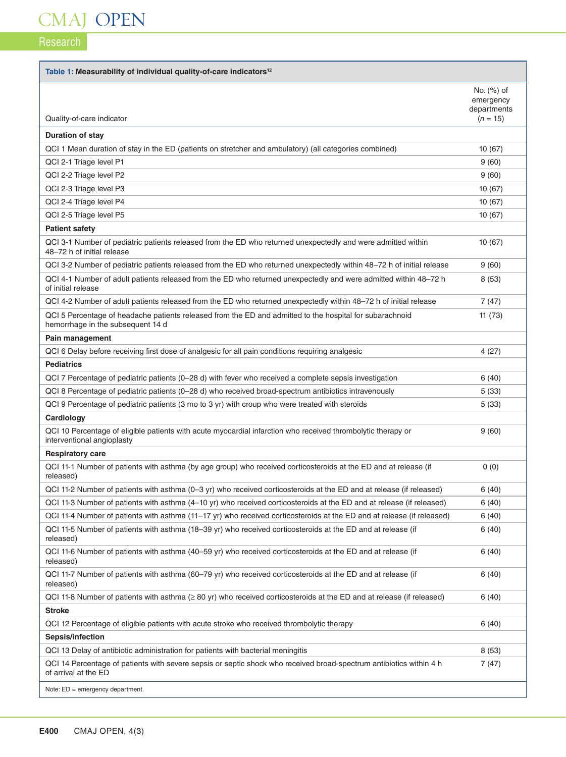### Research

H

| Table 1: Measurability of individual quality-of-care indicators <sup>12</sup>                                                                 |                                        |
|-----------------------------------------------------------------------------------------------------------------------------------------------|----------------------------------------|
|                                                                                                                                               | No. (%) of<br>emergency<br>departments |
| Quality-of-care indicator                                                                                                                     | $(n = 15)$                             |
| <b>Duration of stay</b>                                                                                                                       |                                        |
| QCI 1 Mean duration of stay in the ED (patients on stretcher and ambulatory) (all categories combined)                                        | 10(67)                                 |
| QCI 2-1 Triage level P1                                                                                                                       | 9(60)                                  |
| QCI 2-2 Triage level P2                                                                                                                       | 9(60)                                  |
| QCI 2-3 Triage level P3                                                                                                                       | 10(67)                                 |
| QCI 2-4 Triage level P4                                                                                                                       | 10(67)                                 |
| QCI 2-5 Triage level P5                                                                                                                       | 10(67)                                 |
| <b>Patient safety</b>                                                                                                                         |                                        |
| QCI 3-1 Number of pediatric patients released from the ED who returned unexpectedly and were admitted within<br>48-72 h of initial release    | 10(67)                                 |
| QCI 3-2 Number of pediatric patients released from the ED who returned unexpectedly within 48-72 h of initial release                         | 9(60)                                  |
| QCI 4-1 Number of adult patients released from the ED who returned unexpectedly and were admitted within 48-72 h<br>of initial release        | 8(53)                                  |
| QCI 4-2 Number of adult patients released from the ED who returned unexpectedly within 48–72 h of initial release                             | 7(47)                                  |
| QCI 5 Percentage of headache patients released from the ED and admitted to the hospital for subarachnoid<br>hemorrhage in the subsequent 14 d | 11(73)                                 |
| Pain management                                                                                                                               |                                        |
| QCI 6 Delay before receiving first dose of analgesic for all pain conditions requiring analgesic                                              | 4(27)                                  |
| <b>Pediatrics</b>                                                                                                                             |                                        |
| QCI 7 Percentage of pediatric patients (0-28 d) with fever who received a complete sepsis investigation                                       | 6(40)                                  |
| QCI 8 Percentage of pediatric patients (0-28 d) who received broad-spectrum antibiotics intravenously                                         | 5(33)                                  |
| QCI 9 Percentage of pediatric patients (3 mo to 3 yr) with croup who were treated with steroids                                               | 5(33)                                  |
| Cardiology                                                                                                                                    |                                        |
| QCI 10 Percentage of eligible patients with acute myocardial infarction who received thrombolytic therapy or<br>interventional angioplasty    | 9(60)                                  |
| <b>Respiratory care</b>                                                                                                                       |                                        |
| QCI 11-1 Number of patients with asthma (by age group) who received corticosteroids at the ED and at release (if<br>released)                 | 0(0)                                   |
| QCI 11-2 Number of patients with asthma (0–3 yr) who received corticosteroids at the ED and at release (if released)                          | 6(40)                                  |
| QCI 11-3 Number of patients with asthma (4–10 yr) who received corticosteroids at the ED and at release (if released)                         | 6(40)                                  |
| QCI 11-4 Number of patients with asthma (11–17 yr) who received corticosteroids at the ED and at release (if released)                        | 6(40)                                  |
| QCI 11-5 Number of patients with asthma (18–39 yr) who received corticosteroids at the ED and at release (if<br>released)                     | 6(40)                                  |
| QCI 11-6 Number of patients with asthma (40–59 yr) who received corticosteroids at the ED and at release (if<br>released)                     | 6(40)                                  |
| QCI 11-7 Number of patients with asthma (60–79 yr) who received corticosteroids at the ED and at release (if<br>released)                     | 6(40)                                  |
| QCI 11-8 Number of patients with asthma $(≥ 80 \text{ yr})$ who received corticosteroids at the ED and at release (if released)               | 6 (40)                                 |
| <b>Stroke</b>                                                                                                                                 |                                        |
| QCI 12 Percentage of eligible patients with acute stroke who received thrombolytic therapy                                                    | 6(40)                                  |
| Sepsis/infection                                                                                                                              |                                        |
| QCI 13 Delay of antibiotic administration for patients with bacterial meningitis                                                              | 8(53)                                  |
| QCI 14 Percentage of patients with severe sepsis or septic shock who received broad-spectrum antibiotics within 4 h<br>of arrival at the ED   | 7(47)                                  |
| Note: $ED = \text{energy}$ department.                                                                                                        |                                        |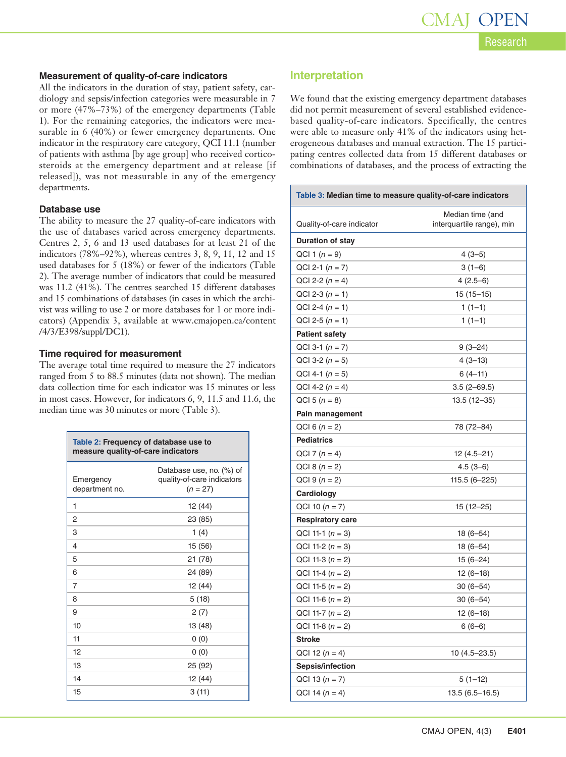#### **Measurement of quality-of-care indicators**

All the indicators in the duration of stay, patient safety, cardiology and sepsis/infection categories were measurable in 7 or more (47%–73%) of the emergency departments (Table 1). For the remaining categories, the indicators were measurable in 6 (40%) or fewer emergency departments. One indicator in the respiratory care category, QCI 11.1 (number of patients with asthma [by age group] who received corticosteroids at the emergency department and at release [if released]), was not measurable in any of the emergency departments.

#### **Database use**

The ability to measure the 27 quality-of-care indicators with the use of databases varied across emergency departments. Centres 2, 5, 6 and 13 used databases for at least 21 of the indicators (78%–92%), whereas centres 3, 8, 9, 11, 12 and 15 used databases for 5 (18%) or fewer of the indicators (Table 2). The average number of indicators that could be measured was 11.2 (41%). The centres searched 15 different databases and 15 combinations of databases (in cases in which the archivist was willing to use 2 or more databases for 1 or more indicators) (Appendix 3, available at [www.cmajopen.ca/content](http://www.cmajopen.ca/content/4/3/E398/suppl/DC1) [/4/3/E398/suppl/DC1\)](http://www.cmajopen.ca/content/4/3/E398/suppl/DC1).

#### **Time required for measurement**

The average total time required to measure the 27 indicators ranged from 5 to 88.5 minutes (data not shown). The median data collection time for each indicator was 15 minutes or less in most cases. However, for indicators 6, 9, 11.5 and 11.6, the median time was 30 minutes or more (Table 3).

| Table 2: Frequency of database use to<br>measure quality-of-care indicators |                                                                      |  |
|-----------------------------------------------------------------------------|----------------------------------------------------------------------|--|
| Emergency<br>department no.                                                 | Database use, no. (%) of<br>quality-of-care indicators<br>$(n = 27)$ |  |
| 1                                                                           | 12 (44)                                                              |  |
| 2                                                                           | 23 (85)                                                              |  |
| 3                                                                           | 1 $(4)$                                                              |  |
| 4                                                                           | 15 (56)                                                              |  |
| 5                                                                           | 21 (78)                                                              |  |
| 6                                                                           | 24 (89)                                                              |  |
| 7                                                                           | 12 (44)                                                              |  |
| 8                                                                           | 5(18)                                                                |  |
| 9                                                                           | 2(7)                                                                 |  |
| 10                                                                          | 13 (48)                                                              |  |
| 11                                                                          | 0(0)                                                                 |  |
| 12                                                                          | 0(0)                                                                 |  |
| 13                                                                          | 25 (92)                                                              |  |
| 14                                                                          | 12 (44)                                                              |  |
| 15                                                                          | 3(11)                                                                |  |

#### **Interpretation**

We found that the existing emergency department databases did not permit measurement of several established evidencebased quality-of-care indicators. Specifically, the centres were able to measure only 41% of the indicators using heterogeneous databases and manual extraction. The 15 participating centres collected data from 15 different databases or combinations of databases, and the process of extracting the

| Table 3: Median time to measure quality-of-care indicators |                                               |  |
|------------------------------------------------------------|-----------------------------------------------|--|
| Quality-of-care indicator                                  | Median time (and<br>interquartile range), min |  |
| <b>Duration of stay</b>                                    |                                               |  |
| QCI 1 $(n = 9)$                                            | $4(3-5)$                                      |  |
| $QCI 2-1 (n = 7)$                                          | $3(1-6)$                                      |  |
| QCI 2-2 $(n = 4)$                                          | $4(2.5-6)$                                    |  |
| QCI 2-3 $(n = 1)$                                          | $15(15-15)$                                   |  |
| QCI 2-4 $(n = 1)$                                          | $1(1-1)$                                      |  |
| QCI 2-5 $(n = 1)$                                          | $1(1-1)$                                      |  |
| <b>Patient safety</b>                                      |                                               |  |
| $QCI$ 3-1 $(n = 7)$                                        | $9(3-24)$                                     |  |
| QCI 3-2 $(n = 5)$                                          | $4(3-13)$                                     |  |
| QCI 4-1 $(n = 5)$                                          | $6(4-11)$                                     |  |
| QCI 4-2 $(n = 4)$                                          | $3.5(2-69.5)$                                 |  |
| QCI 5 $(n = 8)$                                            | 13.5 (12-35)                                  |  |
| Pain management                                            |                                               |  |
| QCI 6 $(n = 2)$                                            | 78 (72-84)                                    |  |
| <b>Pediatrics</b>                                          |                                               |  |
| QCI 7 $(n = 4)$                                            | $12(4.5 - 21)$                                |  |
| QCI 8 $(n = 2)$                                            | $4.5(3-6)$                                    |  |
| QCI 9 $(n = 2)$                                            | 115.5 (6–225)                                 |  |
| Cardiology                                                 |                                               |  |
| QCI 10 $(n = 7)$                                           | $15(12 - 25)$                                 |  |
| <b>Respiratory care</b>                                    |                                               |  |
| QCI 11-1 $(n = 3)$                                         | $18(6-54)$                                    |  |
| QCI 11-2 $(n = 3)$                                         | $18(6-54)$                                    |  |
| QCI 11-3 $(n = 2)$                                         | $15(6-24)$                                    |  |
| QCI 11-4 $(n = 2)$                                         | $12(6-18)$                                    |  |
| QCI 11-5 $(n = 2)$                                         | 30 (6–54)                                     |  |
| QCI 11-6 $(n = 2)$                                         | 30 (6–54)                                     |  |
| QCI 11-7 $(n = 2)$                                         | $12(6-18)$                                    |  |
| QCI 11-8 $(n = 2)$                                         | $6(6-6)$                                      |  |
| Stroke                                                     |                                               |  |
| QCI 12 $(n = 4)$                                           | $10(4.5 - 23.5)$                              |  |
| Sepsis/infection                                           |                                               |  |
| QCI 13 $(n = 7)$                                           | $5(1-12)$                                     |  |
| QCI 14 $(n = 4)$                                           | $13.5(6.5 - 16.5)$                            |  |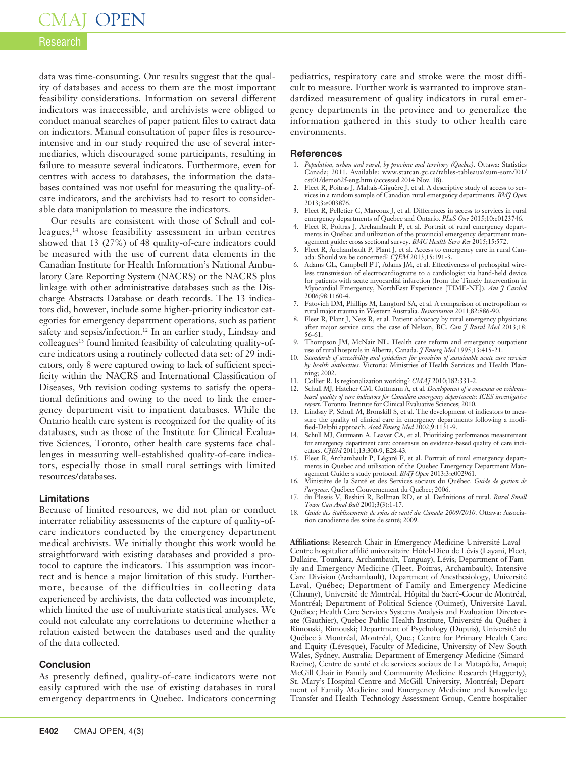#### Research

data was time-consuming. Our results suggest that the quality of databases and access to them are the most important feasibility considerations. Information on several different indicators was inaccessible, and archivists were obliged to conduct manual searches of paper patient files to extract data on indicators. Manual consultation of paper files is resourceintensive and in our study required the use of several intermediaries, which discouraged some participants, resulting in failure to measure several indicators. Furthermore, even for centres with access to databases, the information the databases contained was not useful for measuring the quality-ofcare indicators, and the archivists had to resort to considerable data manipulation to measure the indicators.

Our results are consistent with those of Schull and colleagues,14 whose feasibility assessment in urban centres showed that 13 (27%) of 48 quality-of-care indicators could be measured with the use of current data elements in the Canadian Institute for Health Information's National Ambulatory Care Reporting System (NACRS) or the NACRS plus linkage with other administrative databases such as the Discharge Abstracts Database or death records. The 13 indicators did, however, include some higher-priority indicator categories for emergency department operations, such as patient safety and sepsis/infection.<sup>12</sup> In an earlier study, Lindsay and  $\text{colleagues}^{13}$  found limited feasibility of calculating quality-ofcare indicators using a routinely collected data set: of 29 indicators, only 8 were captured owing to lack of sufficient specificity within the NACRS and International Classification of Diseases, 9th revision coding systems to satisfy the operational definitions and owing to the need to link the emergency department visit to inpatient databases. While the Ontario health care system is recognized for the quality of its databases, such as those of the Institute for Clinical Evaluative Sciences, Toronto, other health care systems face challenges in measuring well-established quality-of-care indicators, especially those in small rural settings with limited resources/databases.

#### **Limitations**

Because of limited resources, we did not plan or conduct interrater reliability assessments of the capture of quality-ofcare indicators conducted by the emergency department medical archivists. We initially thought this work would be straightforward with existing databases and provided a protocol to capture the indicators. This assumption was incorrect and is hence a major limitation of this study. Furthermore, because of the difficulties in collecting data experienced by archivists, the data collected was incomplete, which limited the use of multivariate statistical analyses. We could not calculate any correlations to determine whether a relation existed between the databases used and the quality of the data collected.

#### **Conclusion**

As presently defined, quality-of-care indicators were not easily captured with the use of existing databases in rural emergency departments in Quebec. Indicators concerning

pediatrics, respiratory care and stroke were the most difficult to measure. Further work is warranted to improve standardized measurement of quality indicators in rural emergency departments in the province and to generalize the information gathered in this study to other health care environments.

#### **References**

- 1. *Population, urban and rural, by province and territory (Quebec)*. Ottawa: Statistics Canada; 2011. Available: www.statcan.gc.ca/tables-tableaux/sum-som/l01/ cst01/demo62f-eng.htm (accessed 2014 Nov. 18).
- 2. Fleet R, Poitras J, Maltais-Giguère J, et al. A descriptive study of access to services in a random sample of Canadian rural emergency departments. *BMJ Open* 2013;3:e003876.
- 3. Fleet R, Pelletier C, Marcoux J, et al. Differences in access to services in rural emergency departments of Quebec and Ontario. *PLoS One* 2015;10:e0123746.
- 4. Fleet R, Poitras J, Archambault P, et al. Portrait of rural emergency departments in Québec and utilization of the provincial emergency department management guide: cross sectional survey. *BMC Health Serv Res* 2015;15:572.
- 5. Fleet R, Archambault P, Plant J, et al. Access to emergency care in rural Canada: Should we be concerned? *CJEM* 2013;15:191-3.
- 6. Adams GL, Campbell PT, Adams JM, et al. Effectiveness of prehospital wireless transmission of electrocardiograms to a cardiologist via hand-held device for patients with acute myocardial infarction (from the Timely Intervention in Myocardial Emergency, NorthEast Experience [TIME-NE]). *Am J Cardiol* 2006;98:1160-4.
- 7. Fatovich DM, Phillips M, Langford SA, et al. A comparison of metropolitan vs
- rural major trauma in Western Australia. *Resuscitation* 2011;82:886-90. 8. Fleet R, Plant J, Ness R, et al. Patient advocacy by rural emergency physicians after major service cuts: the case of Nelson, BC. *Can J Rural Med* 2013;18: 56-61.
- 9. Thompson JM, McNair NL. Health care reform and emergency outpatient use of rural hospitals in Alberta, Canada. *J Emerg Med* 1995;13:415-21.
- 10. *Standards of accessibility and guidelines for provision of sustainable acute care services by health authorities*. Victoria: Ministries of Health Services and Health Planning; 2002.
- 11. Collier R. Is regionalization working? *CMAJ* 2010;182:331-2.
- Schull MJ, Hatcher CM, Guttmann A, et al. *Development of a consensus on evidencebased quality of care indicators for Canadian emergency departments: ICES investigative report*. Toronto: Institute for Clinical Evaluative Sciences; 2010.
- 13. Lindsay P, Schull M, Bronskill S, et al. The development of indicators to measure the quality of clinical care in emergency departments following a modified-Delphi approach. *Acad Emerg Med* 2002;9:1131-9.
- 14. Schull MJ, Guttmann A, Leaver CA, et al. Prioritizing performance measurement for emergency department care: consensus on evidence-based quality of care indicators. *CJEM* 2011;13:300-9, E28-43.
- 15. Fleet R, Archambault P, Légaré F, et al. Portrait of rural emergency departments in Quebec and utilisation of the Quebec Emergency Department Management Guide: a study protocol. *BMJ Open* 2013;3:e002961.
- 16. Ministère de la Santé et des Services sociaux du Québec. *Guide de gestion de l'urgence*. Québec: Gouvernement du Québec; 2006.
- 17. du Plessis V, Beshiri R, Bollman RD, et al. Definitions of rural. *Rural Small Town Can Anal Bull* 2001;3(3):1-17.
- 18. *Guide des établissements de soins de santé du Canada 2009/2010*. Ottawa: Association canadienne des soins de santé; 2009.

**Affiliations:** Research Chair in Emergency Medicine Université Laval – Centre hospitalier affilié universitaire Hôtel-Dieu de Lévis (Layani, Fleet, Dallaire, Tounkara, Archambault, Tanguay), Lévis; Department of Family and Emergency Medicine (Fleet, Poitras, Archambault); Intensive Care Division (Archambault), Department of Anesthesiology, Université Laval, Québec; Department of Family and Emergency Medicine (Chauny), Université de Montréal, Hôpital du Sacré-Coeur de Montréal, Montréal; Department of Political Science (Ouimet), Université Laval, Québec; Health Care Services Systems Analysis and Evaluation Directorate (Gauthier), Quebec Public Health Institute, Université du Québec à Rimouski, Rimouski; Department of Psychology (Dupuis), Université du Québec à Montréal, Montréal, Que.; Centre for Primary Health Care and Equity (Lévesque), Faculty of Medicine, University of New South Wales, Sydney, Australia; Department of Emergency Medicine (Simard-Racine), Centre de santé et de services sociaux de La Matapédia, Amqui; McGill Chair in Family and Community Medicine Research (Haggerty), St. Mary's Hospital Centre and McGill University, Montréal; Department of Family Medicine and Emergency Medicine and Knowledge Transfer and Health Technology Assessment Group, Centre hospitalier